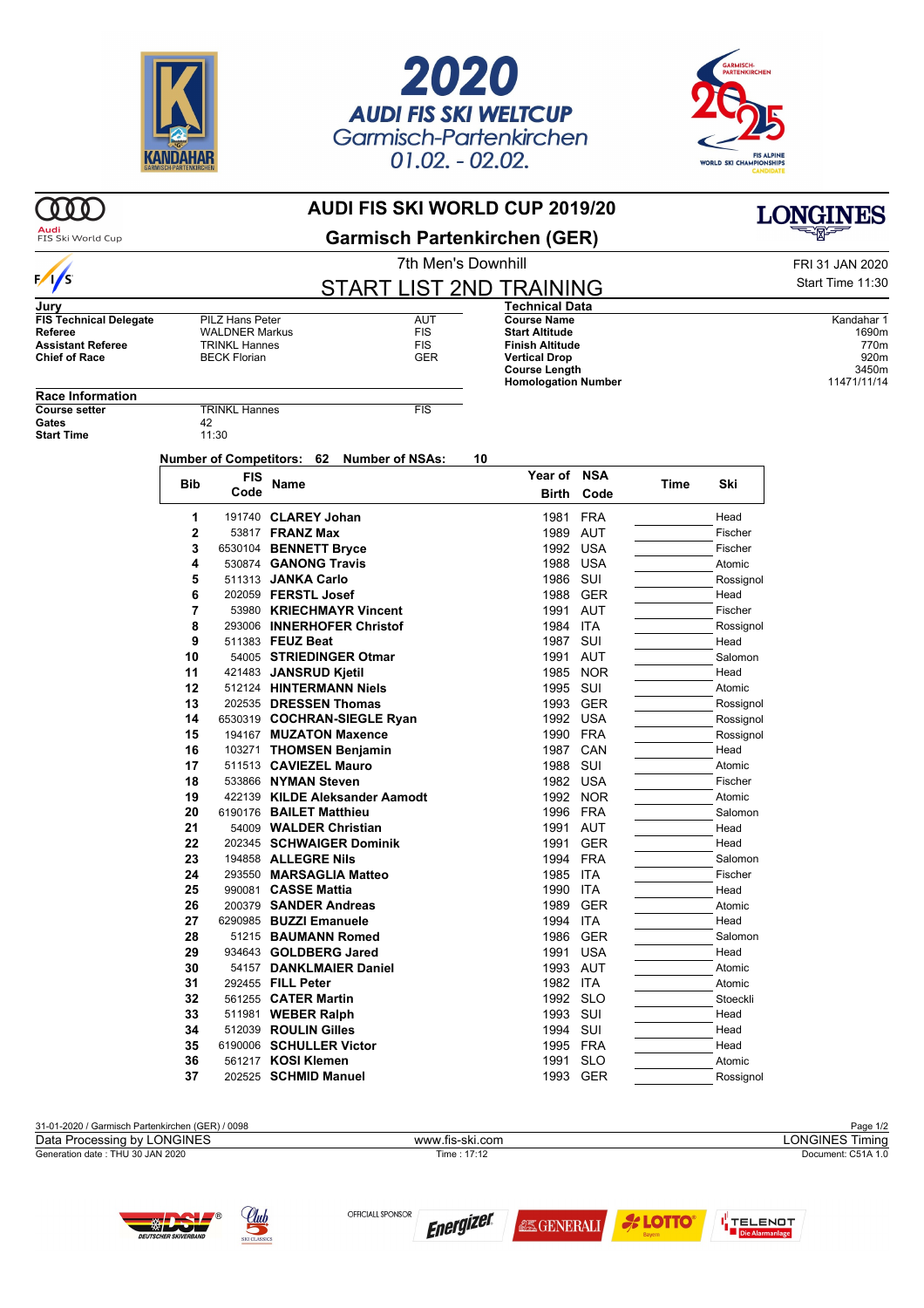





## $000$ **AUDI FIS SKI WORLD CUP 2019/20 LONGINES Audi**<br>FIS Ski World Cup **Garmisch Partenkirchen (GER)** 7th Men's Downhill **FRI 31 JAN 2020**  $\frac{1}{s}$ START LIST 2ND TRAINING **Jury Technical Data FIS Technical Delegate** PILZ Hans Peter **PILZ Hans Peter** AUT<br>
Referee WALDNER Markus FIS **Course Name** Kandahar 1<br> **Course Name** Kandahar 1<br> **Course Name** 1690m **Reference WALDNER Markus FIS**<br>TRINKI Hannes FIS **Start Altitude** 1690m **Assistant Referee** TRINKL Hannes<br> **Chief of Race FIS**<br> **Chief of Race FIS** BECK Florian **Finish Altitude** 770m **Chief of Race Vertical Drop** 920m **Course Length** 3450m<br> **Homologation Number** 311471/11/14 **Homologation Number Race Information COURSE SETTER** TRINKL Hannes FIS<br>
42 Gates 42<br> **Start Time** 42<br>
11:30 **Start Time Number of Competitors: 62 Number of NSAs: 10 Year of NSA Bib FIS Code Name Time Ski Birth Code** 1 191740 **CLAREY Johan** 1981 FRA Head **2** 53817 **FRANZ Max** 1989 AUT Fischer **3** 6530104 **BENNETT Bryce** 1992 USA Fischer **4** 530874 **GANONG Travis 1988 USA** Atomic **5** 511313 **JANKA Carlo** 1986 SUI Rossignol **6** 202059 **FERSTL Josef** 1988 GER Head **7** 53980 **KRIECHMAYR Vincent** 1991 AUT Fischer **8** 293006 **INNERHOFER Christof** 1984 ITA Rossignol **9** 511383 **FEUZ Beat** 1987 SUI **Head 10** 54005 **STRIEDINGER Otmar 1991 AUT**  $\overline{10}$  Salomon Salomon **11** 421483 JANSRUD Kietil **1985** NOR **121483 JANSRUD Kietil 12** 512124 **HINTERMANN Niels 1995 SUI Atomic** Atomic **13** 202535 DRESSEN Thomas 1993 GER Rossignol **14** 6530319 **COCHRAN-SIEGLE Ryan** 1992 USA Rossignol **15** 194167 **MUZATON Maxence** 1990 FRA Rossignol **16** 103271 **THOMSEN Benjamin** 1987 CAN Head **17** 511513 **CAVIEZEL Mauro 1988 SUI Atomic** Atomic **18** 533866 NYMAN Steven **1982 USA** Fischer **19** 422139 **KILDE Aleksander Aamodt** 1992 NOR **Atomic Atomic 1992 NOR** Atomic 1996 FRA **20** 6190176 **BAILET Matthieu** 1996 FRA Salomon **21** 54009 **WALDER Christian** 1991 AUT Head **22** 202345 **SCHWAIGER Dominik** 1991 GER **Thead Head Head Head 1991 GER** Head Head Head Salon **23** 194858 **ALLEGRE Nils** 1994 FRA Salomon **24** 293550 **MARSAGLIA Matteo** 1985 ITA **1985 ITA** Fischer Fischer 1985 ITA Fischer Fischer **290081 CASSE Mattia 26 200379 SANDER Andreas** 1989 GER **Atomic** Atomic **27** 6290985 **BUZZI Emanuele** 1994 ITA Head **28 51215 BAUMANN Romed** 1986 GER Salomon **29** 934643 **GOLDBERG Jared** 1991 USA Head **30 54157 DANKLMAIER Daniel 1993 AUT Atomic** Atomic **31** 292455 **FILL Peter** 1982 ITA Atomic **32** 561255 **CATER Martin** 1992 SLO Stoeckli **33** 511981 **WEBER Ralph** 1993 SUI Head<br> **34** 512039 **ROULIN Gilles** 1994 SUI Head 512039 **ROULIN Gilles 35** 6190006 **SCHULLER Victor** 1995 FRA Head **36** 561217 **KOSI Klemen** 1991 SLO **1991 SLO** Atomic 1993 Atomic 1993 SER **37** 202525 **SCHMID Manuel** 1993 GER Rossignol

31-01-2020 / Garmisch Partenkirchen (GER) / 0098 Page 1/2 Generation date : THU 30 JAN 2020 Time : 17:12 Document: C51A 1.0 Data Processing by LONGINES **Example 2018** www.fis-ski.com **LONGINES Timing** 





OFFICIALL SPONSOR **Energizer** 

**為GENERALI** 



Start Time 11:30